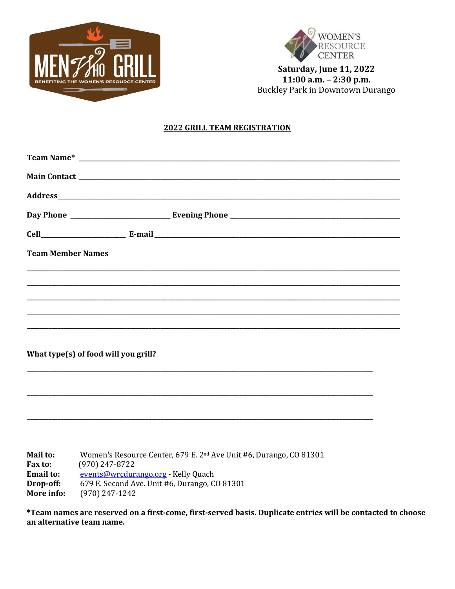



Saturday, June 11, 2022 11:00 a.m. - 2:30 p.m. Buckley Park in Downtown Durango

#### **2022 GRILL TEAM REGISTRATION**

| <b>Team Member Names</b>                                                                                              |
|-----------------------------------------------------------------------------------------------------------------------|
| <u> 1989 - Johann Stoff, deutscher Stoff, der Stoff, der Stoff, der Stoff, der Stoff, der Stoff, der Stoff, der S</u> |
|                                                                                                                       |
|                                                                                                                       |
|                                                                                                                       |
| What type(s) of food will you grill?                                                                                  |
|                                                                                                                       |
|                                                                                                                       |
|                                                                                                                       |
| Women's Resource Center, 679 E. 2 <sup>nd</sup> Ave Unit #6, Durango, CO 81301<br>Mail to:                            |

 $(970)$  247-8722 Fax to: **Email to:** events@wrcdurango.org - Kelly Quach 679 E. Second Ave. Unit #6, Durango, CO 81301 Drop-off: More info: (970) 247-1242

\*Team names are reserved on a first-come, first-served basis. Duplicate entries will be contacted to choose an alternative team name.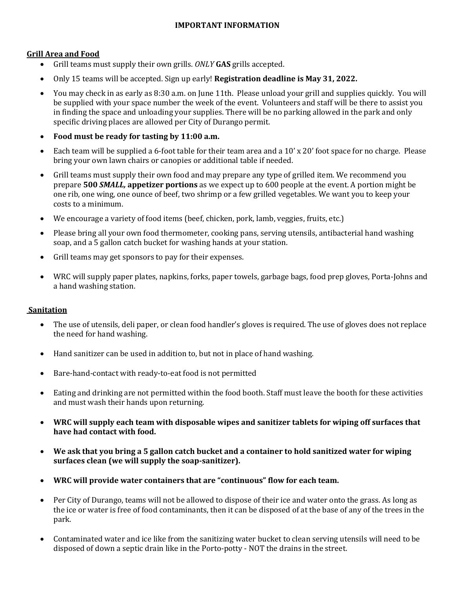# **IMPORTANT INFORMATION**

## **Grill Area and Food**

- Grill teams must supply their own grills. *ONLY* **GAS** grills accepted.
- Only 15 teams will be accepted. Sign up early! **Registration deadline is May 31, 2022.**
- You may check in as early as 8:30 a.m. on June 11th. Please unload your grill and supplies quickly. You will be supplied with your space number the week of the event. Volunteers and staff will be there to assist you in finding the space and unloading your supplies. There will be no parking allowed in the park and only specific driving places are allowed per City of Durango permit.
- **Food must be ready for tasting by 11:00 a.m.**
- Each team will be supplied a 6-foot table for their team area and a 10' x 20' foot space for no charge. Please bring your own lawn chairs or canopies or additional table if needed.
- Grill teams must supply their own food and may prepare any type of grilled item. We recommend you prepare **500** *SMALL,* **appetizer portions** as we expect up to 600 people at the event. A portion might be one rib, one wing, one ounce of beef, two shrimp or a few grilled vegetables. We want you to keep your costs to a minimum.
- We encourage a variety of food items (beef, chicken, pork, lamb, veggies, fruits, etc.)
- Please bring all your own food thermometer, cooking pans, serving utensils, antibacterial hand washing soap, and a 5 gallon catch bucket for washing hands at your station.
- Grill teams may get sponsors to pay for their expenses.
- WRC will supply paper plates, napkins, forks, paper towels, garbage bags, food prep gloves, Porta-Johns and a hand washing station.

## **Sanitation**

- The use of utensils, deli paper, or clean food handler's gloves is required. The use of gloves does not replace the need for hand washing.
- Hand sanitizer can be used in addition to, but not in place of hand washing.
- Bare-hand-contact with ready-to-eat food is not permitted
- Eating and drinking are not permitted within the food booth. Staff must leave the booth for these activities and must wash their hands upon returning.
- **WRC will supply each team with disposable wipes and sanitizer tablets for wiping off surfaces that have had contact with food.**
- **We ask that you bring a 5 gallon catch bucket and a container to hold sanitized water for wiping surfaces clean (we will supply the soap-sanitizer).**
- **WRC will provide water containers that are "continuous" flow for each team.**
- Per City of Durango, teams will not be allowed to dispose of their ice and water onto the grass. As long as the ice or water is free of food contaminants, then it can be disposed of at the base of any of the trees in the park.
- Contaminated water and ice like from the sanitizing water bucket to clean serving utensils will need to be disposed of down a septic drain like in the Porto-potty - NOT the drains in the street.